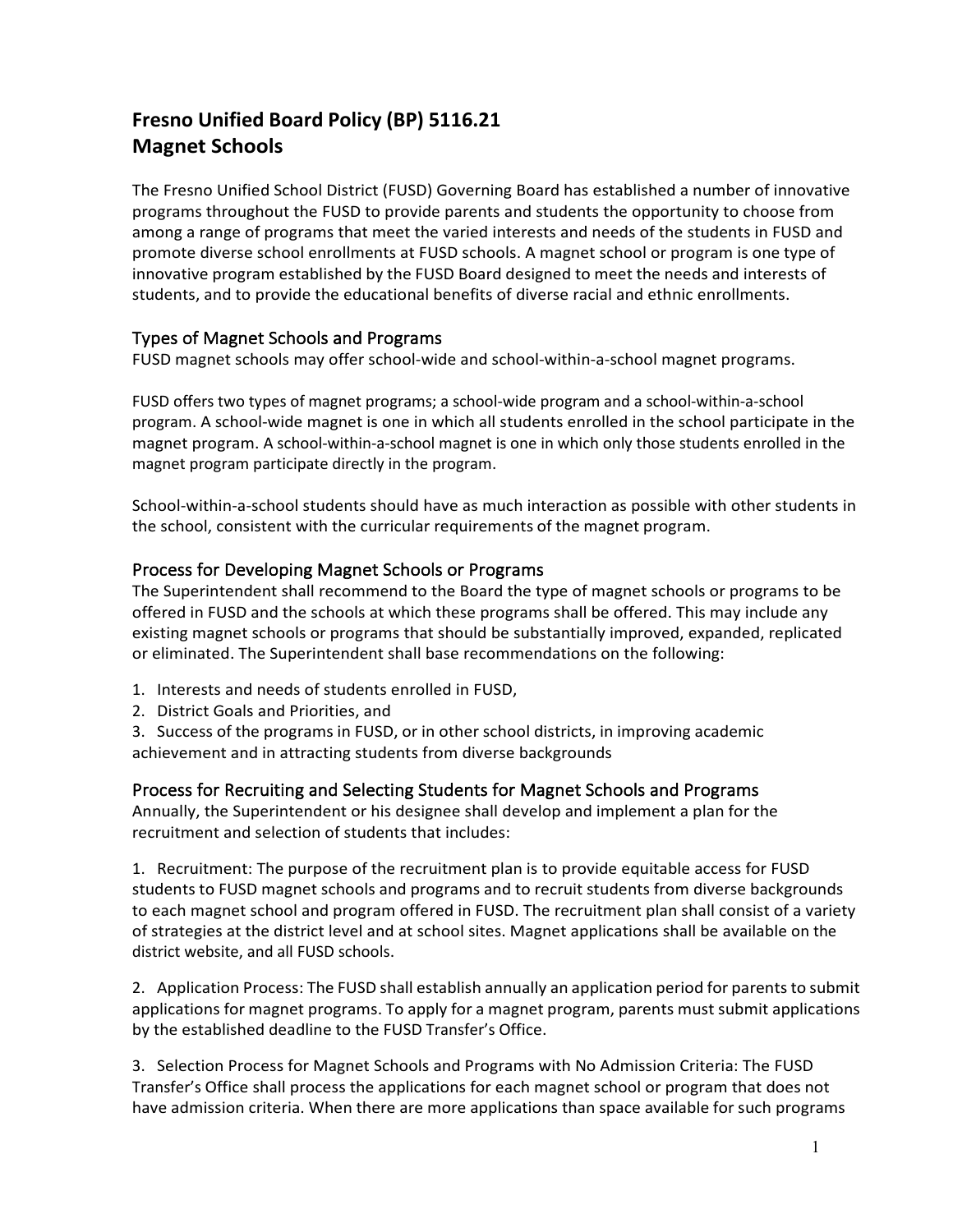# **Fresno Unified Board Policy (BP) 5116.21 Magnet Schools**

The Fresno Unified School District (FUSD) Governing Board has established a number of innovative programs throughout the FUSD to provide parents and students the opportunity to choose from among a range of programs that meet the varied interests and needs of the students in FUSD and promote diverse school enrollments at FUSD schools. A magnet school or program is one type of innovative program established by the FUSD Board designed to meet the needs and interests of students, and to provide the educational benefits of diverse racial and ethnic enrollments.

# Types of Magnet Schools and Programs

FUSD magnet schools may offer school-wide and school-within-a-school magnet programs.

FUSD offers two types of magnet programs; a school-wide program and a school-within-a-school program. A school-wide magnet is one in which all students enrolled in the school participate in the magnet program. A school-within-a-school magnet is one in which only those students enrolled in the magnet program participate directly in the program.

School-within-a-school students should have as much interaction as possible with other students in the school, consistent with the curricular requirements of the magnet program.

## Process for Developing Magnet Schools or Programs

The Superintendent shall recommend to the Board the type of magnet schools or programs to be offered in FUSD and the schools at which these programs shall be offered. This may include any existing magnet schools or programs that should be substantially improved, expanded, replicated or eliminated. The Superintendent shall base recommendations on the following:

- 1. Interests and needs of students enrolled in FUSD,
- 2. District Goals and Priorities, and
- 3. Success of the programs in FUSD, or in other school districts, in improving academic achievement and in attracting students from diverse backgrounds

## Process for Recruiting and Selecting Students for Magnet Schools and Programs

Annually, the Superintendent or his designee shall develop and implement a plan for the recruitment and selection of students that includes:

1. Recruitment: The purpose of the recruitment plan is to provide equitable access for FUSD students to FUSD magnet schools and programs and to recruit students from diverse backgrounds to each magnet school and program offered in FUSD. The recruitment plan shall consist of a variety of strategies at the district level and at school sites. Magnet applications shall be available on the district website, and all FUSD schools.

2. Application Process: The FUSD shall establish annually an application period for parents to submit applications for magnet programs. To apply for a magnet program, parents must submit applications by the established deadline to the FUSD Transfer's Office.

3. Selection Process for Magnet Schools and Programs with No Admission Criteria: The FUSD Transfer's Office shall process the applications for each magnet school or program that does not have admission criteria. When there are more applications than space available for such programs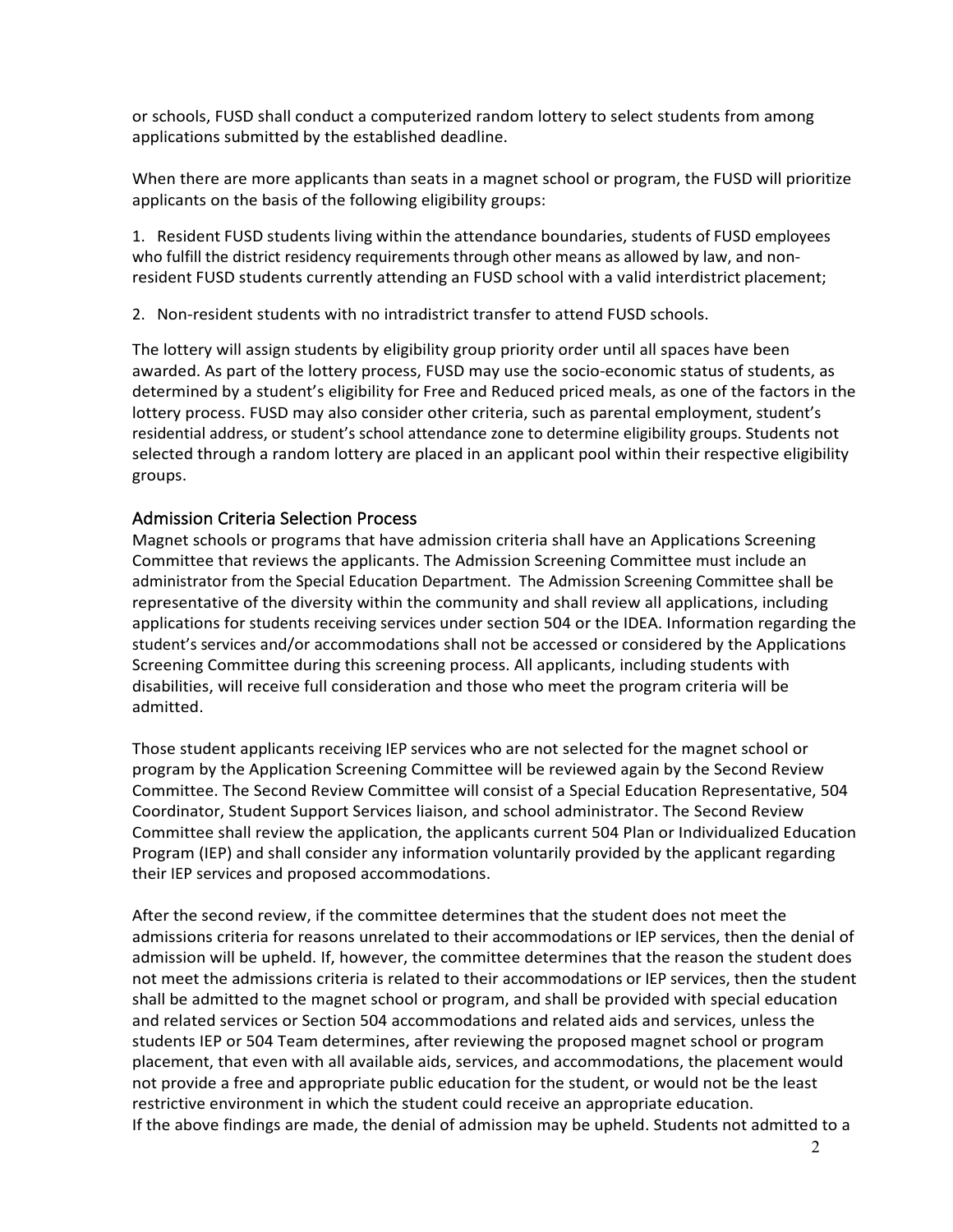or schools, FUSD shall conduct a computerized random lottery to select students from among applications submitted by the established deadline.

When there are more applicants than seats in a magnet school or program, the FUSD will prioritize applicants on the basis of the following eligibility groups:

1. Resident FUSD students living within the attendance boundaries, students of FUSD employees who fulfill the district residency requirements through other means as allowed by law, and nonresident FUSD students currently attending an FUSD school with a valid interdistrict placement;

2. Non-resident students with no intradistrict transfer to attend FUSD schools.

The lottery will assign students by eligibility group priority order until all spaces have been awarded. As part of the lottery process, FUSD may use the socio-economic status of students, as determined by a student's eligibility for Free and Reduced priced meals, as one of the factors in the lottery process. FUSD may also consider other criteria, such as parental employment, student's residential address, or student's school attendance zone to determine eligibility groups. Students not selected through a random lottery are placed in an applicant pool within their respective eligibility groups.

#### Admission Criteria Selection Process

Magnet schools or programs that have admission criteria shall have an Applications Screening Committee that reviews the applicants. The Admission Screening Committee must include an administrator from the Special Education Department. The Admission Screening Committee shall be representative of the diversity within the community and shall review all applications, including applications for students receiving services under section 504 or the IDEA. Information regarding the student's services and/or accommodations shall not be accessed or considered by the Applications Screening Committee during this screening process. All applicants, including students with disabilities, will receive full consideration and those who meet the program criteria will be admitted.

Those student applicants receiving IEP services who are not selected for the magnet school or program by the Application Screening Committee will be reviewed again by the Second Review Committee. The Second Review Committee will consist of a Special Education Representative, 504 Coordinator, Student Support Services liaison, and school administrator. The Second Review Committee shall review the application, the applicants current 504 Plan or Individualized Education Program (IEP) and shall consider any information voluntarily provided by the applicant regarding their IEP services and proposed accommodations.

After the second review, if the committee determines that the student does not meet the admissions criteria for reasons unrelated to their accommodations or IEP services, then the denial of admission will be upheld. If, however, the committee determines that the reason the student does not meet the admissions criteria is related to their accommodations or IEP services, then the student shall be admitted to the magnet school or program, and shall be provided with special education and related services or Section 504 accommodations and related aids and services, unless the students IEP or 504 Team determines, after reviewing the proposed magnet school or program placement, that even with all available aids, services, and accommodations, the placement would not provide a free and appropriate public education for the student, or would not be the least restrictive environment in which the student could receive an appropriate education. If the above findings are made, the denial of admission may be upheld. Students not admitted to a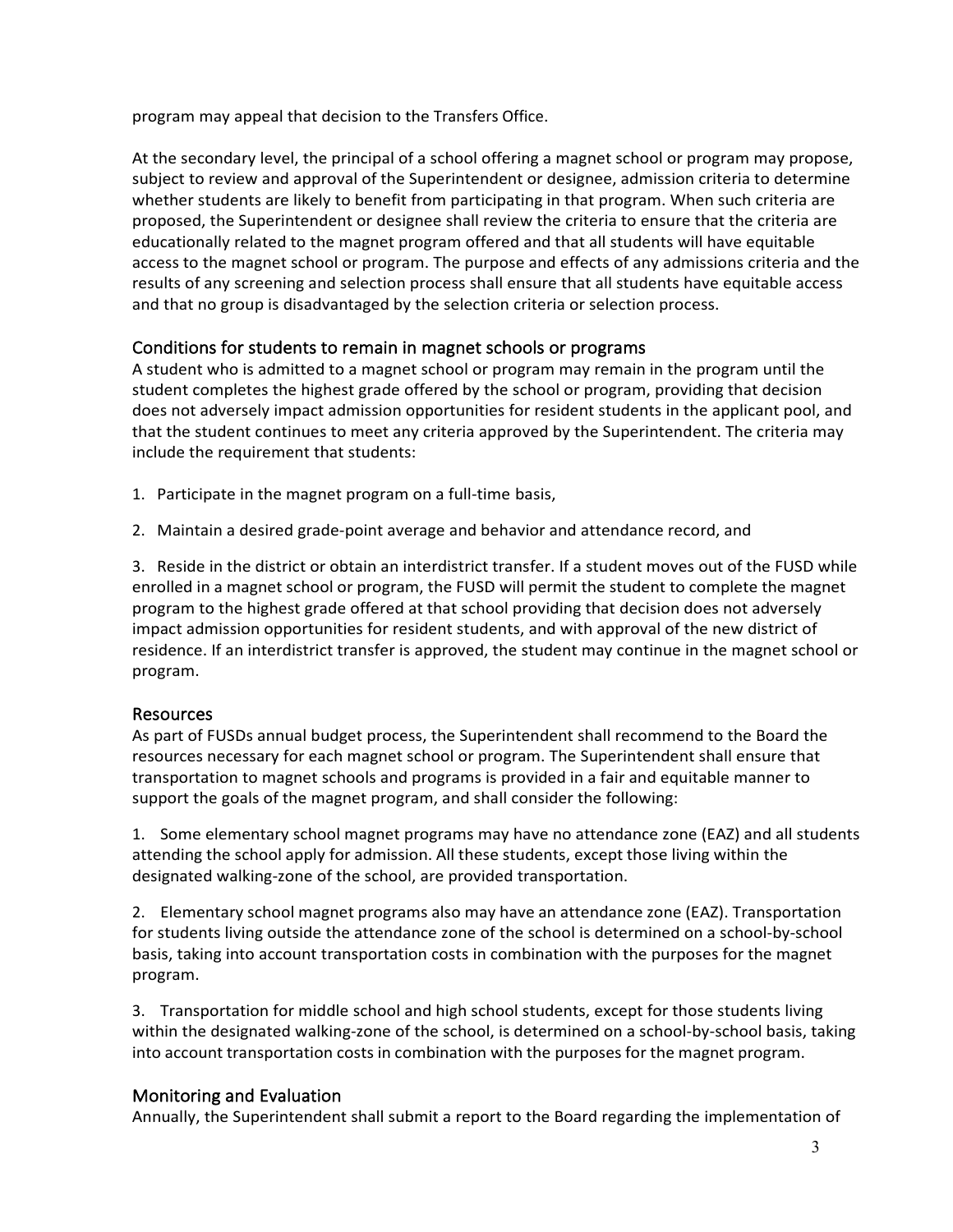program may appeal that decision to the Transfers Office.

At the secondary level, the principal of a school offering a magnet school or program may propose, subject to review and approval of the Superintendent or designee, admission criteria to determine whether students are likely to benefit from participating in that program. When such criteria are proposed, the Superintendent or designee shall review the criteria to ensure that the criteria are educationally related to the magnet program offered and that all students will have equitable access to the magnet school or program. The purpose and effects of any admissions criteria and the results of any screening and selection process shall ensure that all students have equitable access and that no group is disadvantaged by the selection criteria or selection process.

# Conditions for students to remain in magnet schools or programs

A student who is admitted to a magnet school or program may remain in the program until the student completes the highest grade offered by the school or program, providing that decision does not adversely impact admission opportunities for resident students in the applicant pool, and that the student continues to meet any criteria approved by the Superintendent. The criteria may include the requirement that students:

- 1. Participate in the magnet program on a full-time basis,
- 2. Maintain a desired grade-point average and behavior and attendance record, and

3. Reside in the district or obtain an interdistrict transfer. If a student moves out of the FUSD while enrolled in a magnet school or program, the FUSD will permit the student to complete the magnet program to the highest grade offered at that school providing that decision does not adversely impact admission opportunities for resident students, and with approval of the new district of residence. If an interdistrict transfer is approved, the student may continue in the magnet school or program.

## Resources

As part of FUSDs annual budget process, the Superintendent shall recommend to the Board the resources necessary for each magnet school or program. The Superintendent shall ensure that transportation to magnet schools and programs is provided in a fair and equitable manner to support the goals of the magnet program, and shall consider the following:

1. Some elementary school magnet programs may have no attendance zone (EAZ) and all students attending the school apply for admission. All these students, except those living within the designated walking-zone of the school, are provided transportation.

2. Elementary school magnet programs also may have an attendance zone (EAZ). Transportation for students living outside the attendance zone of the school is determined on a school-by-school basis, taking into account transportation costs in combination with the purposes for the magnet program.

3. Transportation for middle school and high school students, except for those students living within the designated walking-zone of the school, is determined on a school-by-school basis, taking into account transportation costs in combination with the purposes for the magnet program.

## Monitoring and Evaluation

Annually, the Superintendent shall submit a report to the Board regarding the implementation of